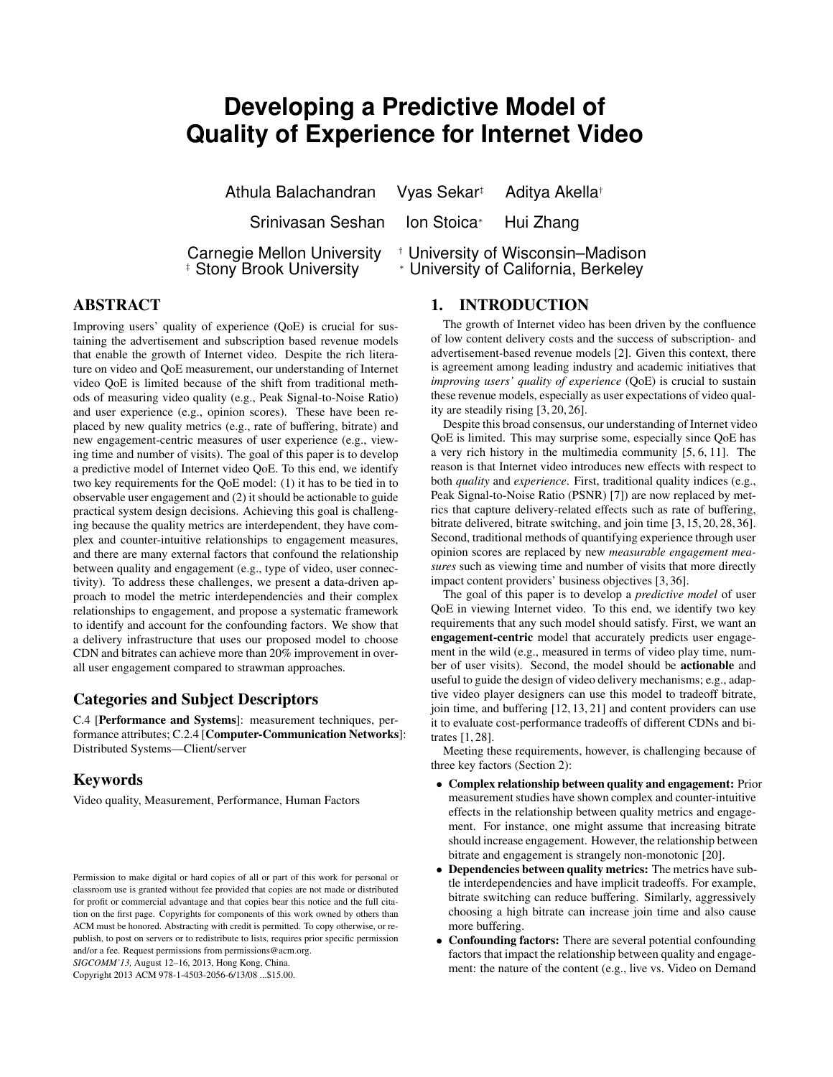# **Developing a Predictive Model of Quality of Experience for Internet Video**

Athula Balachandran Vyas Sekar‡ Aditya Akella†

Srinivasan Seshan Ion Stoica<sup>∗</sup> Hui Zhang

Carnegie Mellon University <sup>†</sup> University of Wisconsin–Madison<br><sup>‡</sup> Stony Brook University **the Victor of California**, Berkeley ‡ Stony Brook University <sup>∗</sup> University of California, Berkeley

## ABSTRACT

Improving users' quality of experience (QoE) is crucial for sustaining the advertisement and subscription based revenue models that enable the growth of Internet video. Despite the rich literature on video and QoE measurement, our understanding of Internet video QoE is limited because of the shift from traditional methods of measuring video quality (e.g., Peak Signal-to-Noise Ratio) and user experience (e.g., opinion scores). These have been replaced by new quality metrics (e.g., rate of buffering, bitrate) and new engagement-centric measures of user experience (e.g., viewing time and number of visits). The goal of this paper is to develop a predictive model of Internet video QoE. To this end, we identify two key requirements for the QoE model: (1) it has to be tied in to observable user engagement and (2) it should be actionable to guide practical system design decisions. Achieving this goal is challenging because the quality metrics are interdependent, they have complex and counter-intuitive relationships to engagement measures, and there are many external factors that confound the relationship between quality and engagement (e.g., type of video, user connectivity). To address these challenges, we present a data-driven approach to model the metric interdependencies and their complex relationships to engagement, and propose a systematic framework to identify and account for the confounding factors. We show that a delivery infrastructure that uses our proposed model to choose CDN and bitrates can achieve more than 20% improvement in overall user engagement compared to strawman approaches.

## Categories and Subject Descriptors

C.4 [Performance and Systems]: measurement techniques, performance attributes; C.2.4 [Computer-Communication Networks]: Distributed Systems—Client/server

## Keywords

Video quality, Measurement, Performance, Human Factors

*SIGCOMM'13,* August 12–16, 2013, Hong Kong, China.

Copyright 2013 ACM 978-1-4503-2056-6/13/08 ...\$15.00.

## 1. INTRODUCTION

The growth of Internet video has been driven by the confluence of low content delivery costs and the success of subscription- and advertisement-based revenue models [2]. Given this context, there is agreement among leading industry and academic initiatives that *improving users' quality of experience* (QoE) is crucial to sustain these revenue models, especially as user expectations of video quality are steadily rising [3, 20, 26].

Despite this broad consensus, our understanding of Internet video QoE is limited. This may surprise some, especially since QoE has a very rich history in the multimedia community [5, 6, 11]. The reason is that Internet video introduces new effects with respect to both *quality* and *experience*. First, traditional quality indices (e.g., Peak Signal-to-Noise Ratio (PSNR) [7]) are now replaced by metrics that capture delivery-related effects such as rate of buffering, bitrate delivered, bitrate switching, and join time [3, 15, 20, 28, 36]. Second, traditional methods of quantifying experience through user opinion scores are replaced by new *measurable engagement measures* such as viewing time and number of visits that more directly impact content providers' business objectives [3, 36].

The goal of this paper is to develop a *predictive model* of user QoE in viewing Internet video. To this end, we identify two key requirements that any such model should satisfy. First, we want an engagement-centric model that accurately predicts user engagement in the wild (e.g., measured in terms of video play time, number of user visits). Second, the model should be actionable and useful to guide the design of video delivery mechanisms; e.g., adaptive video player designers can use this model to tradeoff bitrate, join time, and buffering [12, 13, 21] and content providers can use it to evaluate cost-performance tradeoffs of different CDNs and bitrates [1, 28].

Meeting these requirements, however, is challenging because of three key factors (Section 2):

- Complex relationship between quality and engagement: Prior measurement studies have shown complex and counter-intuitive effects in the relationship between quality metrics and engagement. For instance, one might assume that increasing bitrate should increase engagement. However, the relationship between bitrate and engagement is strangely non-monotonic [20].
- Dependencies between quality metrics: The metrics have subtle interdependencies and have implicit tradeoffs. For example, bitrate switching can reduce buffering. Similarly, aggressively choosing a high bitrate can increase join time and also cause more buffering.
- Confounding factors: There are several potential confounding factors that impact the relationship between quality and engagement: the nature of the content (e.g., live vs. Video on Demand

Permission to make digital or hard copies of all or part of this work for personal or classroom use is granted without fee provided that copies are not made or distributed for profit or commercial advantage and that copies bear this notice and the full citation on the first page. Copyrights for components of this work owned by others than ACM must be honored. Abstracting with credit is permitted. To copy otherwise, or republish, to post on servers or to redistribute to lists, requires prior specific permission and/or a fee. Request permissions from permissions@acm.org.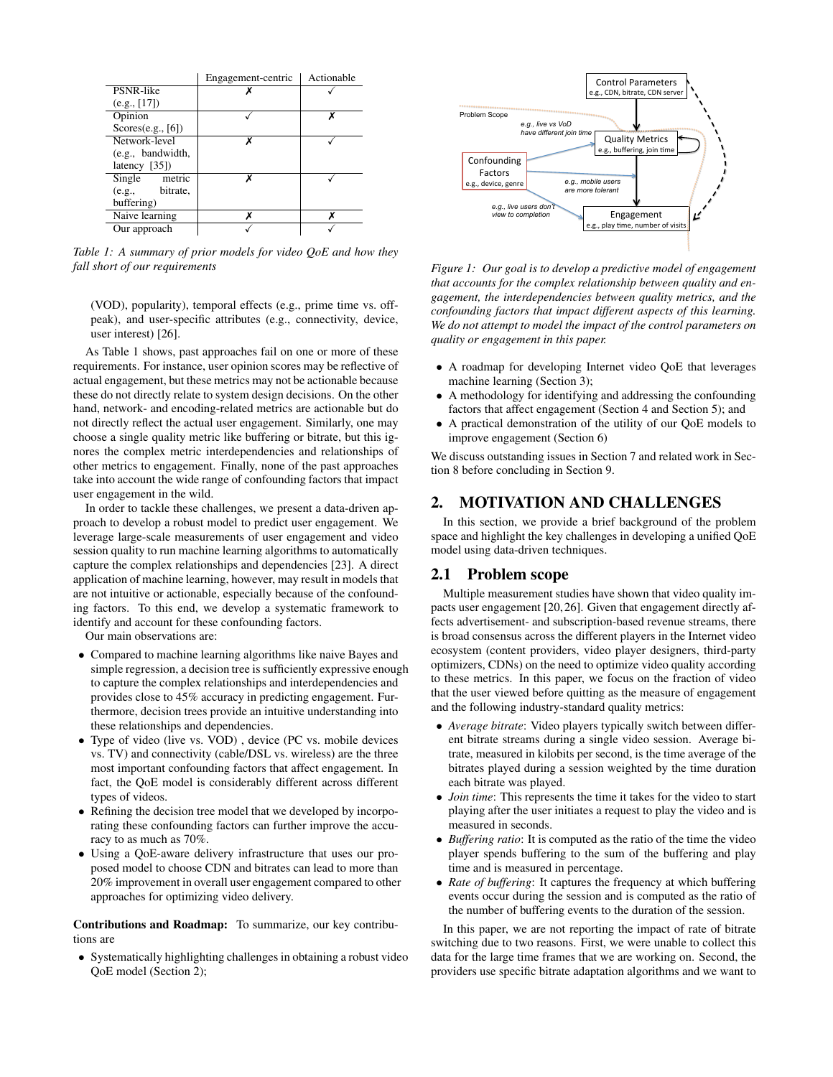|                   | Engagement-centric | Actionable |
|-------------------|--------------------|------------|
| PSNR-like         |                    |            |
| (e.g., [17])      |                    |            |
| Opinion           |                    | ¥          |
| Scores(e.g., [6]) |                    |            |
| Network-level     |                    |            |
| (e.g., bandwidth, |                    |            |
| latency $[35]$    |                    |            |
| Single metric     |                    |            |
| (e.g., bitrate,   |                    |            |
| buffering)        |                    |            |
| Naive learning    |                    |            |
| Our approach      |                    |            |

*Table 1: A summary of prior models for video QoE and how they fall short of our requirements*

(VOD), popularity), temporal effects (e.g., prime time vs. offpeak), and user-specific attributes (e.g., connectivity, device, user interest) [26].

As Table 1 shows, past approaches fail on one or more of these requirements. For instance, user opinion scores may be reflective of actual engagement, but these metrics may not be actionable because these do not directly relate to system design decisions. On the other hand, network- and encoding-related metrics are actionable but do not directly reflect the actual user engagement. Similarly, one may choose a single quality metric like buffering or bitrate, but this ignores the complex metric interdependencies and relationships of other metrics to engagement. Finally, none of the past approaches take into account the wide range of confounding factors that impact user engagement in the wild.

In order to tackle these challenges, we present a data-driven approach to develop a robust model to predict user engagement. We leverage large-scale measurements of user engagement and video session quality to run machine learning algorithms to automatically capture the complex relationships and dependencies [23]. A direct application of machine learning, however, may result in models that are not intuitive or actionable, especially because of the confounding factors. To this end, we develop a systematic framework to identify and account for these confounding factors.

Our main observations are:

- Compared to machine learning algorithms like naive Bayes and simple regression, a decision tree is sufficiently expressive enough to capture the complex relationships and interdependencies and provides close to 45% accuracy in predicting engagement. Furthermore, decision trees provide an intuitive understanding into these relationships and dependencies.
- Type of video (live vs. VOD) , device (PC vs. mobile devices vs. TV) and connectivity (cable/DSL vs. wireless) are the three most important confounding factors that affect engagement. In fact, the QoE model is considerably different across different types of videos.
- Refining the decision tree model that we developed by incorporating these confounding factors can further improve the accuracy to as much as 70%.
- Using a QoE-aware delivery infrastructure that uses our proposed model to choose CDN and bitrates can lead to more than 20% improvement in overall user engagement compared to other approaches for optimizing video delivery.

Contributions and Roadmap: To summarize, our key contributions are

• Systematically highlighting challenges in obtaining a robust video QoE model (Section 2);



*Figure 1: Our goal is to develop a predictive model of engagement that accounts for the complex relationship between quality and engagement, the interdependencies between quality metrics, and the confounding factors that impact different aspects of this learning. We do not attempt to model the impact of the control parameters on quality or engagement in this paper.*

- A roadmap for developing Internet video QoE that leverages machine learning (Section 3);
- A methodology for identifying and addressing the confounding factors that affect engagement (Section 4 and Section 5); and
- A practical demonstration of the utility of our QoE models to improve engagement (Section 6)

We discuss outstanding issues in Section 7 and related work in Section 8 before concluding in Section 9.

## 2. MOTIVATION AND CHALLENGES

In this section, we provide a brief background of the problem space and highlight the key challenges in developing a unified QoE model using data-driven techniques.

## 2.1 Problem scope

Multiple measurement studies have shown that video quality impacts user engagement [20, 26]. Given that engagement directly affects advertisement- and subscription-based revenue streams, there is broad consensus across the different players in the Internet video ecosystem (content providers, video player designers, third-party optimizers, CDNs) on the need to optimize video quality according to these metrics. In this paper, we focus on the fraction of video that the user viewed before quitting as the measure of engagement and the following industry-standard quality metrics:

- *Average bitrate*: Video players typically switch between different bitrate streams during a single video session. Average bitrate, measured in kilobits per second, is the time average of the bitrates played during a session weighted by the time duration each bitrate was played.
- *Join time*: This represents the time it takes for the video to start playing after the user initiates a request to play the video and is measured in seconds.
- *Buffering ratio*: It is computed as the ratio of the time the video player spends buffering to the sum of the buffering and play time and is measured in percentage.
- *Rate of buffering*: It captures the frequency at which buffering events occur during the session and is computed as the ratio of the number of buffering events to the duration of the session.

In this paper, we are not reporting the impact of rate of bitrate switching due to two reasons. First, we were unable to collect this data for the large time frames that we are working on. Second, the providers use specific bitrate adaptation algorithms and we want to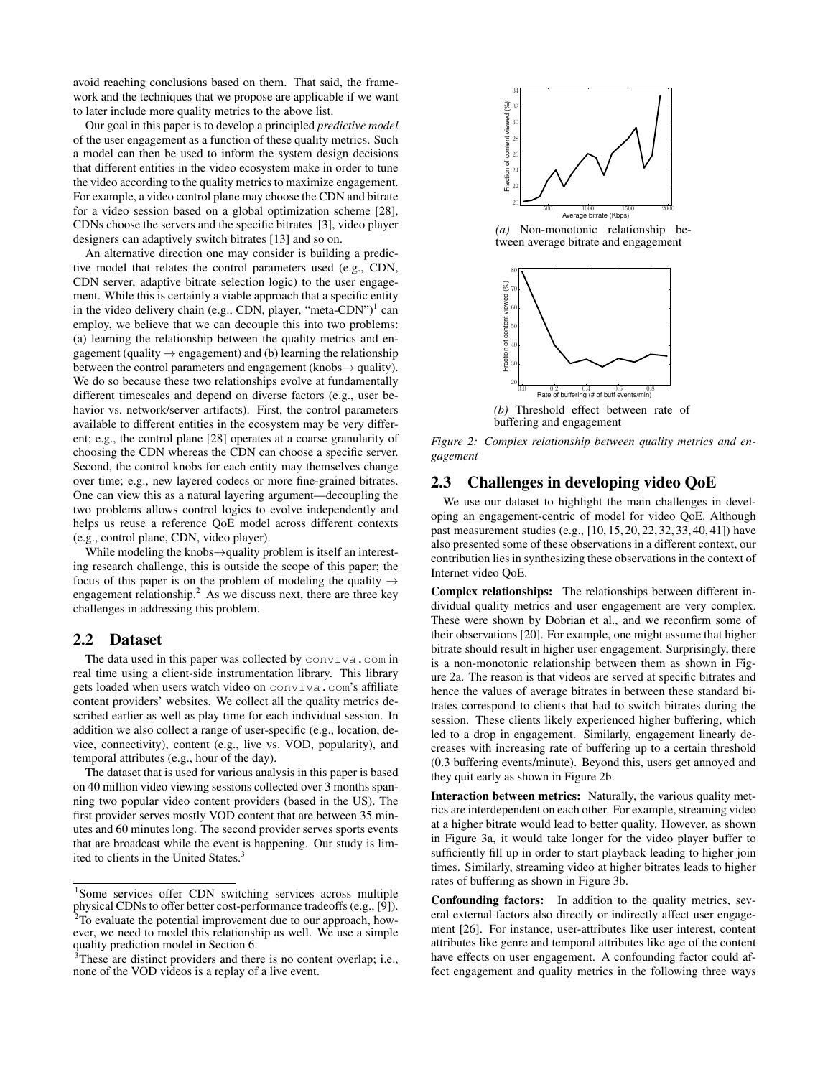avoid reaching conclusions based on them. That said, the framework and the techniques that we propose are applicable if we want to later include more quality metrics to the above list.

Our goal in this paper is to develop a principled *predictive model* of the user engagement as a function of these quality metrics. Such a model can then be used to inform the system design decisions that different entities in the video ecosystem make in order to tune the video according to the quality metrics to maximize engagement. For example, a video control plane may choose the CDN and bitrate for a video session based on a global optimization scheme [28], CDNs choose the servers and the specific bitrates [3], video player designers can adaptively switch bitrates [13] and so on.

An alternative direction one may consider is building a predictive model that relates the control parameters used (e.g., CDN, CDN server, adaptive bitrate selection logic) to the user engagement. While this is certainly a viable approach that a specific entity in the video delivery chain (e.g., CDN, player, "meta-CDN")<sup>1</sup> can employ, we believe that we can decouple this into two problems: (a) learning the relationship between the quality metrics and engagement (quality  $\rightarrow$  engagement) and (b) learning the relationship between the control parameters and engagement (knobs→ quality). We do so because these two relationships evolve at fundamentally different timescales and depend on diverse factors (e.g., user behavior vs. network/server artifacts). First, the control parameters available to different entities in the ecosystem may be very different; e.g., the control plane [28] operates at a coarse granularity of choosing the CDN whereas the CDN can choose a specific server. Second, the control knobs for each entity may themselves change over time; e.g., new layered codecs or more fine-grained bitrates. One can view this as a natural layering argument—decoupling the two problems allows control logics to evolve independently and helps us reuse a reference QoE model across different contexts (e.g., control plane, CDN, video player).

While modeling the knobs→quality problem is itself an interesting research challenge, this is outside the scope of this paper; the focus of this paper is on the problem of modeling the quality  $\rightarrow$ engagement relationship.<sup>2</sup> As we discuss next, there are three key challenges in addressing this problem.

#### 2.2 Dataset

The data used in this paper was collected by conviva.com in real time using a client-side instrumentation library. This library gets loaded when users watch video on conviva.com's affiliate content providers' websites. We collect all the quality metrics described earlier as well as play time for each individual session. In addition we also collect a range of user-specific (e.g., location, device, connectivity), content (e.g., live vs. VOD, popularity), and temporal attributes (e.g., hour of the day).

The dataset that is used for various analysis in this paper is based on 40 million video viewing sessions collected over 3 months spanning two popular video content providers (based in the US). The first provider serves mostly VOD content that are between 35 minutes and 60 minutes long. The second provider serves sports events that are broadcast while the event is happening. Our study is limited to clients in the United States.<sup>3</sup>



*(b)* Threshold effect between rate of buffering and engagement

*Figure 2: Complex relationship between quality metrics and engagement*

#### 2.3 Challenges in developing video QoE

We use our dataset to highlight the main challenges in developing an engagement-centric of model for video QoE. Although past measurement studies (e.g., [10, 15, 20, 22, 32, 33, 40, 41]) have also presented some of these observations in a different context, our contribution lies in synthesizing these observations in the context of Internet video QoE.

Complex relationships: The relationships between different individual quality metrics and user engagement are very complex. These were shown by Dobrian et al., and we reconfirm some of their observations [20]. For example, one might assume that higher bitrate should result in higher user engagement. Surprisingly, there is a non-monotonic relationship between them as shown in Figure 2a. The reason is that videos are served at specific bitrates and hence the values of average bitrates in between these standard bitrates correspond to clients that had to switch bitrates during the session. These clients likely experienced higher buffering, which led to a drop in engagement. Similarly, engagement linearly decreases with increasing rate of buffering up to a certain threshold (0.3 buffering events/minute). Beyond this, users get annoyed and they quit early as shown in Figure 2b.

Interaction between metrics: Naturally, the various quality metrics are interdependent on each other. For example, streaming video at a higher bitrate would lead to better quality. However, as shown in Figure 3a, it would take longer for the video player buffer to sufficiently fill up in order to start playback leading to higher join times. Similarly, streaming video at higher bitrates leads to higher rates of buffering as shown in Figure 3b.

Confounding factors: In addition to the quality metrics, several external factors also directly or indirectly affect user engagement [26]. For instance, user-attributes like user interest, content attributes like genre and temporal attributes like age of the content have effects on user engagement. A confounding factor could affect engagement and quality metrics in the following three ways

<sup>1</sup> Some services offer CDN switching services across multiple physical CDNs to offer better cost-performance tradeoffs (e.g., [9]). <sup>2</sup>To evaluate the potential improvement due to our approach, how-

ever, we need to model this relationship as well. We use a simple quality prediction model in Section 6.

 $3$ These are distinct providers and there is no content overlap; i.e., none of the VOD videos is a replay of a live event.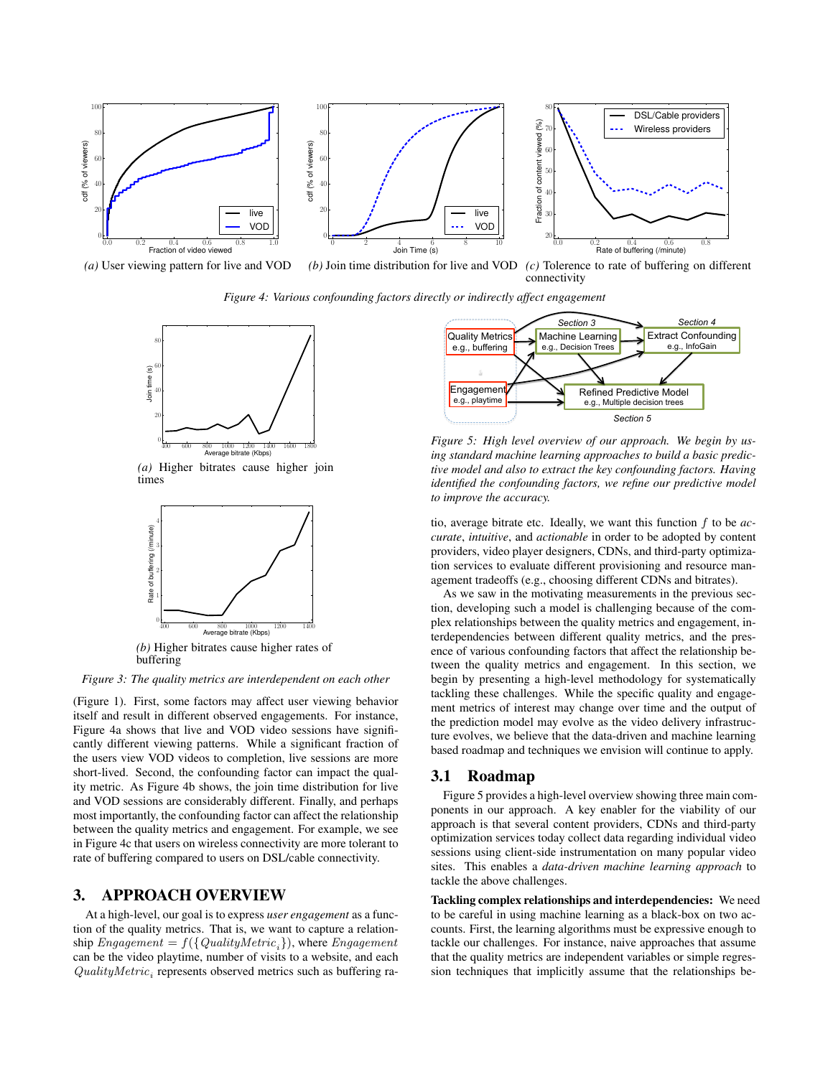

connectivity

*Figure 4: Various confounding factors directly or indirectly affect engagement*



*(a)* Higher bitrates cause higher join times



buffering

*Figure 3: The quality metrics are interdependent on each other*

(Figure 1). First, some factors may affect user viewing behavior itself and result in different observed engagements. For instance, Figure 4a shows that live and VOD video sessions have significantly different viewing patterns. While a significant fraction of the users view VOD videos to completion, live sessions are more short-lived. Second, the confounding factor can impact the quality metric. As Figure 4b shows, the join time distribution for live and VOD sessions are considerably different. Finally, and perhaps most importantly, the confounding factor can affect the relationship between the quality metrics and engagement. For example, we see in Figure 4c that users on wireless connectivity are more tolerant to rate of buffering compared to users on DSL/cable connectivity.

#### 3. APPROACH OVERVIEW

At a high-level, our goal is to express *user engagement* as a function of the quality metrics. That is, we want to capture a relationship Engagement =  $f({\mathcal{Q}}ualityMetric_i)$ , where Engagement can be the video playtime, number of visits to a website, and each  $QualityMetric$ <sub>i</sub> represents observed metrics such as buffering ra-



*Figure 5: High level overview of our approach. We begin by using standard machine learning approaches to build a basic predictive model and also to extract the key confounding factors. Having identified the confounding factors, we refine our predictive model to improve the accuracy.*

tio, average bitrate etc. Ideally, we want this function f to be *accurate*, *intuitive*, and *actionable* in order to be adopted by content providers, video player designers, CDNs, and third-party optimization services to evaluate different provisioning and resource management tradeoffs (e.g., choosing different CDNs and bitrates).

As we saw in the motivating measurements in the previous section, developing such a model is challenging because of the complex relationships between the quality metrics and engagement, interdependencies between different quality metrics, and the presence of various confounding factors that affect the relationship between the quality metrics and engagement. In this section, we begin by presenting a high-level methodology for systematically tackling these challenges. While the specific quality and engagement metrics of interest may change over time and the output of the prediction model may evolve as the video delivery infrastructure evolves, we believe that the data-driven and machine learning based roadmap and techniques we envision will continue to apply.

#### 3.1 Roadmap

Figure 5 provides a high-level overview showing three main components in our approach. A key enabler for the viability of our approach is that several content providers, CDNs and third-party optimization services today collect data regarding individual video sessions using client-side instrumentation on many popular video sites. This enables a *data-driven machine learning approach* to tackle the above challenges.

Tackling complex relationships and interdependencies: We need to be careful in using machine learning as a black-box on two accounts. First, the learning algorithms must be expressive enough to tackle our challenges. For instance, naive approaches that assume that the quality metrics are independent variables or simple regression techniques that implicitly assume that the relationships be-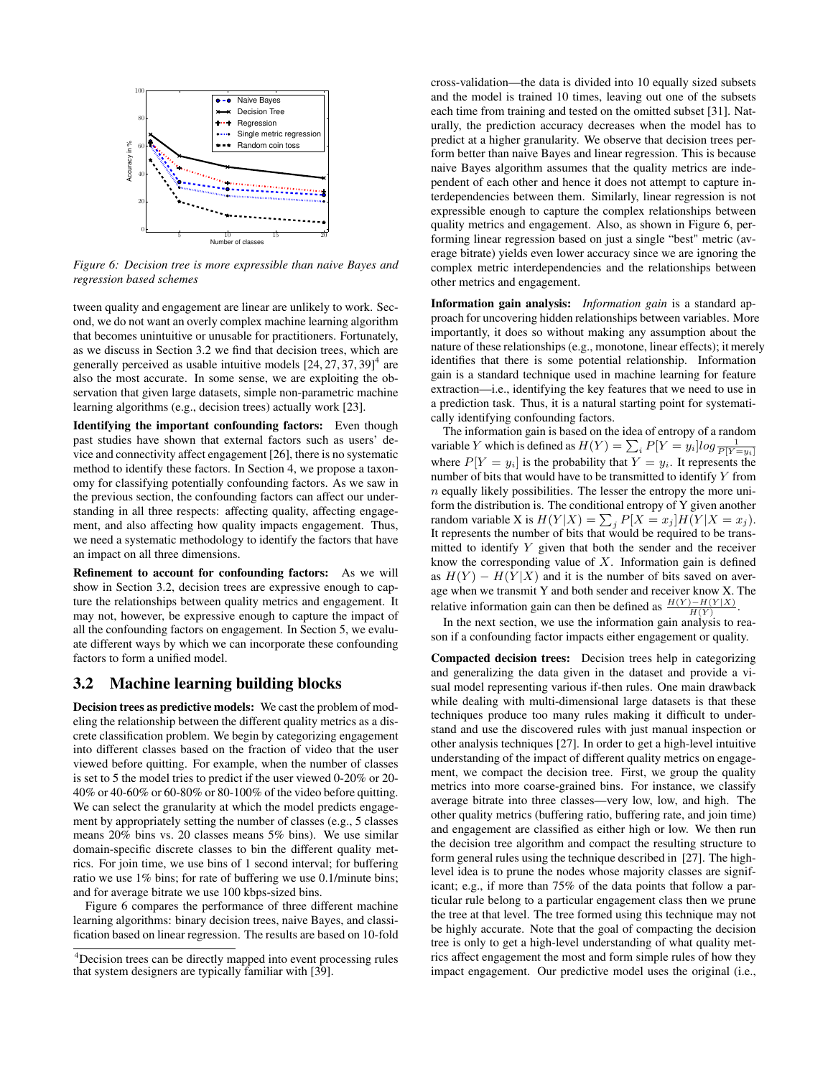

*Figure 6: Decision tree is more expressible than naive Bayes and regression based schemes*

tween quality and engagement are linear are unlikely to work. Second, we do not want an overly complex machine learning algorithm that becomes unintuitive or unusable for practitioners. Fortunately, as we discuss in Section 3.2 we find that decision trees, which are generally perceived as usable intuitive models  $[24, 27, 37, 39]^4$  are also the most accurate. In some sense, we are exploiting the observation that given large datasets, simple non-parametric machine learning algorithms (e.g., decision trees) actually work [23].

Identifying the important confounding factors: Even though past studies have shown that external factors such as users' device and connectivity affect engagement [26], there is no systematic method to identify these factors. In Section 4, we propose a taxonomy for classifying potentially confounding factors. As we saw in the previous section, the confounding factors can affect our understanding in all three respects: affecting quality, affecting engagement, and also affecting how quality impacts engagement. Thus, we need a systematic methodology to identify the factors that have an impact on all three dimensions.

Refinement to account for confounding factors: As we will show in Section 3.2, decision trees are expressive enough to capture the relationships between quality metrics and engagement. It may not, however, be expressive enough to capture the impact of all the confounding factors on engagement. In Section 5, we evaluate different ways by which we can incorporate these confounding factors to form a unified model.

## 3.2 Machine learning building blocks

Decision trees as predictive models: We cast the problem of modeling the relationship between the different quality metrics as a discrete classification problem. We begin by categorizing engagement into different classes based on the fraction of video that the user viewed before quitting. For example, when the number of classes is set to 5 the model tries to predict if the user viewed 0-20% or 20- 40% or 40-60% or 60-80% or 80-100% of the video before quitting. We can select the granularity at which the model predicts engagement by appropriately setting the number of classes (e.g., 5 classes means 20% bins vs. 20 classes means 5% bins). We use similar domain-specific discrete classes to bin the different quality metrics. For join time, we use bins of 1 second interval; for buffering ratio we use 1% bins; for rate of buffering we use 0.1/minute bins; and for average bitrate we use 100 kbps-sized bins.

Figure 6 compares the performance of three different machine learning algorithms: binary decision trees, naive Bayes, and classification based on linear regression. The results are based on 10-fold

cross-validation—the data is divided into 10 equally sized subsets and the model is trained 10 times, leaving out one of the subsets each time from training and tested on the omitted subset [31]. Naturally, the prediction accuracy decreases when the model has to predict at a higher granularity. We observe that decision trees perform better than naive Bayes and linear regression. This is because naive Bayes algorithm assumes that the quality metrics are independent of each other and hence it does not attempt to capture interdependencies between them. Similarly, linear regression is not expressible enough to capture the complex relationships between quality metrics and engagement. Also, as shown in Figure 6, performing linear regression based on just a single "best" metric (average bitrate) yields even lower accuracy since we are ignoring the complex metric interdependencies and the relationships between other metrics and engagement.

Information gain analysis: *Information gain* is a standard approach for uncovering hidden relationships between variables. More importantly, it does so without making any assumption about the nature of these relationships (e.g., monotone, linear effects); it merely identifies that there is some potential relationship. Information gain is a standard technique used in machine learning for feature extraction—i.e., identifying the key features that we need to use in a prediction task. Thus, it is a natural starting point for systematically identifying confounding factors.

The information gain is based on the idea of entropy of a random variable Y which is defined as  $H(Y) = \sum_i P[Y = y_i] log \frac{1}{P[Y = y_i]}$ where  $P[Y = y_i]$  is the probability that  $Y = y_i$ . It represents the number of bits that would have to be transmitted to identify  $Y$  from  $n$  equally likely possibilities. The lesser the entropy the more uniform the distribution is. The conditional entropy of Y given another random variable X is  $H(Y|X) = \sum_j P[X = x_j]H(Y|X = x_j)$ . It represents the number of bits that would be required to be transmitted to identify  $Y$  given that both the sender and the receiver know the corresponding value of  $X$ . Information gain is defined as  $H(Y) - H(Y|X)$  and it is the number of bits saved on average when we transmit Y and both sender and receiver know X. The relative information gain can then be defined as  $\frac{H(Y) - H(Y|X)}{H(Y)}$ .

In the next section, we use the information gain analysis to reason if a confounding factor impacts either engagement or quality.

Compacted decision trees: Decision trees help in categorizing and generalizing the data given in the dataset and provide a visual model representing various if-then rules. One main drawback while dealing with multi-dimensional large datasets is that these techniques produce too many rules making it difficult to understand and use the discovered rules with just manual inspection or other analysis techniques [27]. In order to get a high-level intuitive understanding of the impact of different quality metrics on engagement, we compact the decision tree. First, we group the quality metrics into more coarse-grained bins. For instance, we classify average bitrate into three classes—very low, low, and high. The other quality metrics (buffering ratio, buffering rate, and join time) and engagement are classified as either high or low. We then run the decision tree algorithm and compact the resulting structure to form general rules using the technique described in [27]. The highlevel idea is to prune the nodes whose majority classes are significant; e.g., if more than 75% of the data points that follow a particular rule belong to a particular engagement class then we prune the tree at that level. The tree formed using this technique may not be highly accurate. Note that the goal of compacting the decision tree is only to get a high-level understanding of what quality metrics affect engagement the most and form simple rules of how they impact engagement. Our predictive model uses the original (i.e.,

<sup>4</sup>Decision trees can be directly mapped into event processing rules that system designers are typically familiar with [39].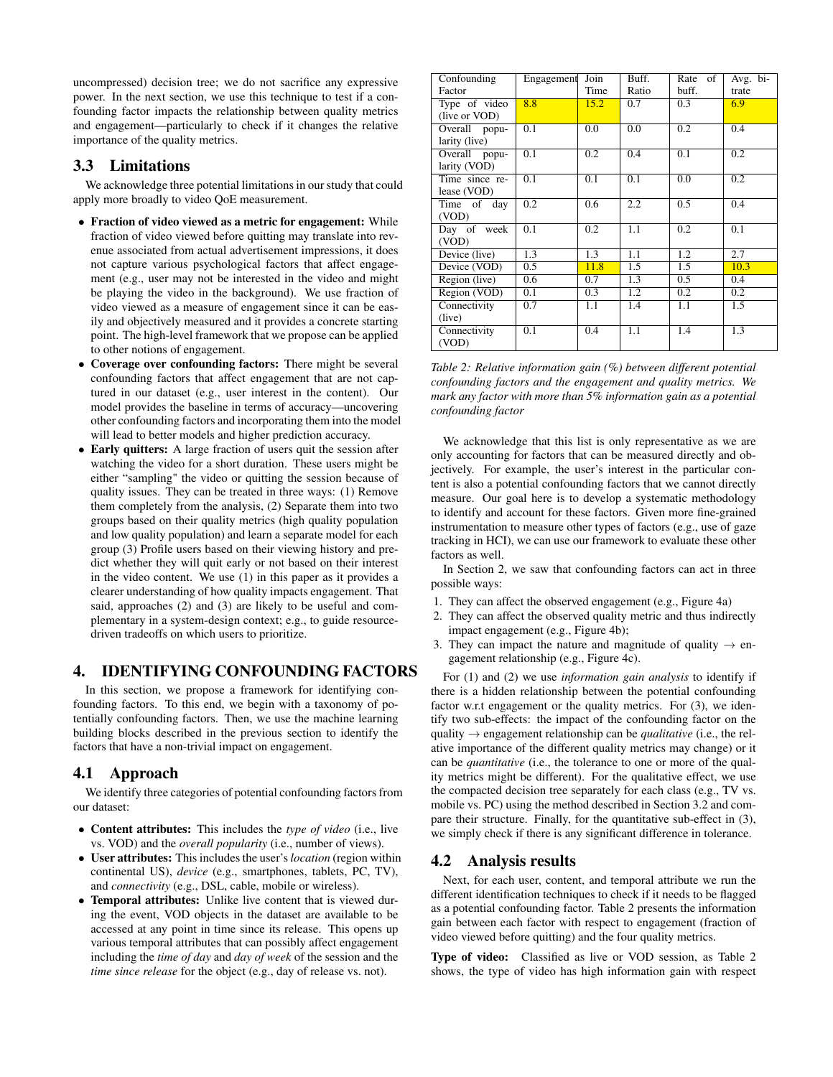uncompressed) decision tree; we do not sacrifice any expressive power. In the next section, we use this technique to test if a confounding factor impacts the relationship between quality metrics and engagement—particularly to check if it changes the relative importance of the quality metrics.

## 3.3 Limitations

We acknowledge three potential limitations in our study that could apply more broadly to video QoE measurement.

- Fraction of video viewed as a metric for engagement: While fraction of video viewed before quitting may translate into revenue associated from actual advertisement impressions, it does not capture various psychological factors that affect engagement (e.g., user may not be interested in the video and might be playing the video in the background). We use fraction of video viewed as a measure of engagement since it can be easily and objectively measured and it provides a concrete starting point. The high-level framework that we propose can be applied to other notions of engagement.
- Coverage over confounding factors: There might be several confounding factors that affect engagement that are not captured in our dataset (e.g., user interest in the content). Our model provides the baseline in terms of accuracy—uncovering other confounding factors and incorporating them into the model will lead to better models and higher prediction accuracy.
- Early quitters: A large fraction of users quit the session after watching the video for a short duration. These users might be either "sampling" the video or quitting the session because of quality issues. They can be treated in three ways: (1) Remove them completely from the analysis, (2) Separate them into two groups based on their quality metrics (high quality population and low quality population) and learn a separate model for each group (3) Profile users based on their viewing history and predict whether they will quit early or not based on their interest in the video content. We use (1) in this paper as it provides a clearer understanding of how quality impacts engagement. That said, approaches (2) and (3) are likely to be useful and complementary in a system-design context; e.g., to guide resourcedriven tradeoffs on which users to prioritize.

## 4. IDENTIFYING CONFOUNDING FACTORS

In this section, we propose a framework for identifying confounding factors. To this end, we begin with a taxonomy of potentially confounding factors. Then, we use the machine learning building blocks described in the previous section to identify the factors that have a non-trivial impact on engagement.

## 4.1 Approach

We identify three categories of potential confounding factors from our dataset:

- Content attributes: This includes the *type of video* (i.e., live vs. VOD) and the *overall popularity* (i.e., number of views).
- User attributes: This includes the user's*location* (region within continental US), *device* (e.g., smartphones, tablets, PC, TV), and *connectivity* (e.g., DSL, cable, mobile or wireless).
- Temporal attributes: Unlike live content that is viewed during the event, VOD objects in the dataset are available to be accessed at any point in time since its release. This opens up various temporal attributes that can possibly affect engagement including the *time of day* and *day of week* of the session and the *time since release* for the object (e.g., day of release vs. not).

| Confounding<br>Factor          | Engagement       | Join<br>Time     | Buff.<br>Ratio   | Rate of<br>buff. | Avg. bi-<br>trate |
|--------------------------------|------------------|------------------|------------------|------------------|-------------------|
| Type of video<br>(live or VOD) | 8.8              | 15.2             | 0.7              | 0.3              | 6.9               |
| Overall popu-<br>larity (live) | 0.1              | 0.0              | 0.0              | 0.2              | 0.4               |
| Overall popu-<br>larity (VOD)  | 0.1              | 0.2              | 0.4              | 0.1              | 0.2               |
| Time since re-<br>lease (VOD)  | $0.\overline{1}$ | 0.1              | 0.1              | 0.0              | 0.2               |
| Time of day<br>(VOD)           | 0.2              | 0.6              | $\overline{2.2}$ | 0.5              | 0.4               |
| Day of week<br>(VOD)           | $\overline{0.1}$ | $\overline{0.2}$ | $\overline{1.1}$ | 0.2              | $\overline{0.1}$  |
| Device (live)                  | 1.3              | 1.3              | 1.1              | 1.2              | 2.7               |
| Device (VOD)                   | 0.5              | 11.8             | 1.5              | 1.5              | 10.3              |
| Region (live)                  | 0.6              | 0.7              | 1.3              | 0.5              | 0.4               |
| Region (VOD)                   | 0.1              | 0.3              | 1.2              | 0.2              | $\overline{0.2}$  |
| Connectivity<br>(live)         | 0.7              | 1.1              | 1.4              | 1.1              | 1.5               |
| Connectivity<br>(VOD)          | 0.1              | 0.4              | 1.1              | 1.4              | 1.3               |

*Table 2: Relative information gain (%) between different potential confounding factors and the engagement and quality metrics. We mark any factor with more than 5% information gain as a potential confounding factor*

We acknowledge that this list is only representative as we are only accounting for factors that can be measured directly and objectively. For example, the user's interest in the particular content is also a potential confounding factors that we cannot directly measure. Our goal here is to develop a systematic methodology to identify and account for these factors. Given more fine-grained instrumentation to measure other types of factors (e.g., use of gaze tracking in HCI), we can use our framework to evaluate these other factors as well.

In Section 2, we saw that confounding factors can act in three possible ways:

- 1. They can affect the observed engagement (e.g., Figure 4a)
- 2. They can affect the observed quality metric and thus indirectly impact engagement (e.g., Figure 4b);
- 3. They can impact the nature and magnitude of quality  $\rightarrow$  engagement relationship (e.g., Figure 4c).

For (1) and (2) we use *information gain analysis* to identify if there is a hidden relationship between the potential confounding factor w.r.t engagement or the quality metrics. For (3), we identify two sub-effects: the impact of the confounding factor on the quality → engagement relationship can be *qualitative* (i.e., the relative importance of the different quality metrics may change) or it can be *quantitative* (i.e., the tolerance to one or more of the quality metrics might be different). For the qualitative effect, we use the compacted decision tree separately for each class (e.g., TV vs. mobile vs. PC) using the method described in Section 3.2 and compare their structure. Finally, for the quantitative sub-effect in (3), we simply check if there is any significant difference in tolerance.

#### 4.2 Analysis results

Next, for each user, content, and temporal attribute we run the different identification techniques to check if it needs to be flagged as a potential confounding factor. Table 2 presents the information gain between each factor with respect to engagement (fraction of video viewed before quitting) and the four quality metrics.

Type of video: Classified as live or VOD session, as Table 2 shows, the type of video has high information gain with respect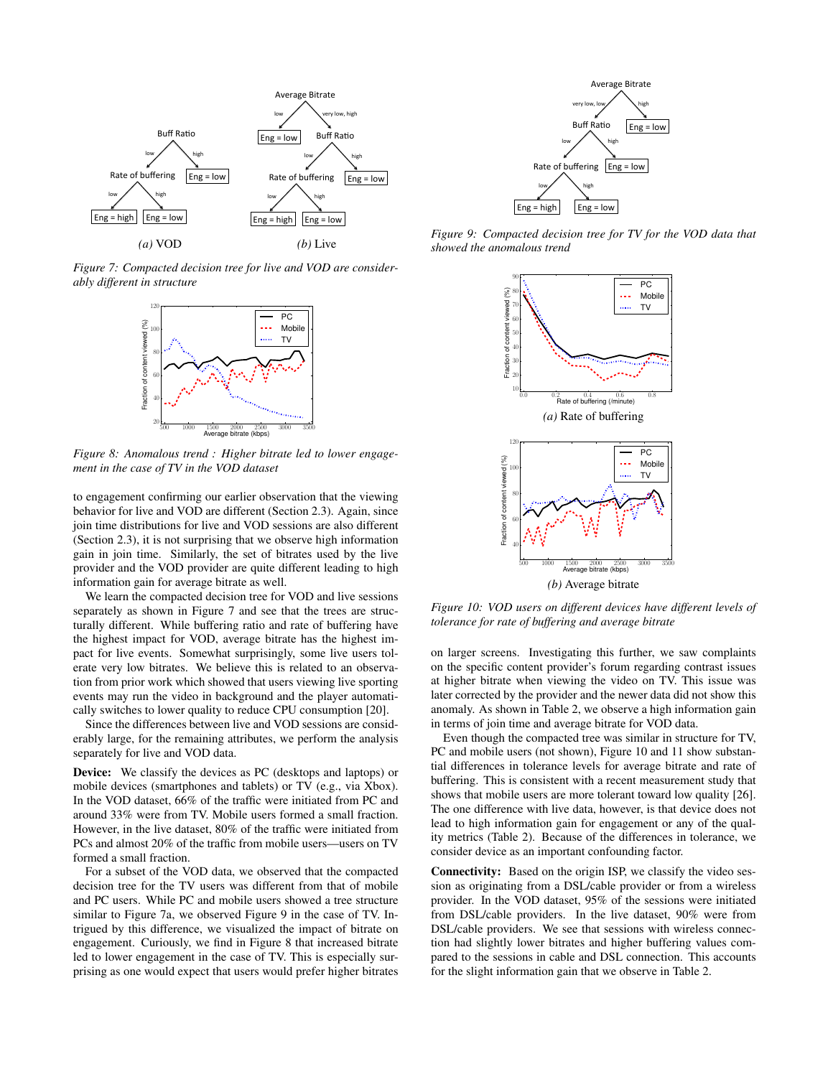

*Figure 7: Compacted decision tree for live and VOD are considerably different in structure*



*Figure 8: Anomalous trend : Higher bitrate led to lower engagement in the case of TV in the VOD dataset*

to engagement confirming our earlier observation that the viewing behavior for live and VOD are different (Section 2.3). Again, since join time distributions for live and VOD sessions are also different (Section 2.3), it is not surprising that we observe high information gain in join time. Similarly, the set of bitrates used by the live provider and the VOD provider are quite different leading to high information gain for average bitrate as well.

We learn the compacted decision tree for VOD and live sessions separately as shown in Figure 7 and see that the trees are structurally different. While buffering ratio and rate of buffering have the highest impact for VOD, average bitrate has the highest impact for live events. Somewhat surprisingly, some live users tolerate very low bitrates. We believe this is related to an observation from prior work which showed that users viewing live sporting events may run the video in background and the player automatically switches to lower quality to reduce CPU consumption [20].

Since the differences between live and VOD sessions are considerably large, for the remaining attributes, we perform the analysis separately for live and VOD data.

Device: We classify the devices as PC (desktops and laptops) or mobile devices (smartphones and tablets) or TV (e.g., via Xbox). In the VOD dataset, 66% of the traffic were initiated from PC and around 33% were from TV. Mobile users formed a small fraction. However, in the live dataset, 80% of the traffic were initiated from PCs and almost 20% of the traffic from mobile users—users on TV formed a small fraction.

For a subset of the VOD data, we observed that the compacted decision tree for the TV users was different from that of mobile and PC users. While PC and mobile users showed a tree structure similar to Figure 7a, we observed Figure 9 in the case of TV. Intrigued by this difference, we visualized the impact of bitrate on engagement. Curiously, we find in Figure 8 that increased bitrate led to lower engagement in the case of TV. This is especially surprising as one would expect that users would prefer higher bitrates



*Figure 9: Compacted decision tree for TV for the VOD data that showed the anomalous trend*



*(b)* Average bitrate *Figure 10: VOD users on different devices have different levels of tolerance for rate of buffering and average bitrate*

on larger screens. Investigating this further, we saw complaints on the specific content provider's forum regarding contrast issues at higher bitrate when viewing the video on TV. This issue was later corrected by the provider and the newer data did not show this anomaly. As shown in Table 2, we observe a high information gain in terms of join time and average bitrate for VOD data.

Even though the compacted tree was similar in structure for TV, PC and mobile users (not shown), Figure 10 and 11 show substantial differences in tolerance levels for average bitrate and rate of buffering. This is consistent with a recent measurement study that shows that mobile users are more tolerant toward low quality [26]. The one difference with live data, however, is that device does not lead to high information gain for engagement or any of the quality metrics (Table 2). Because of the differences in tolerance, we consider device as an important confounding factor.

Connectivity: Based on the origin ISP, we classify the video session as originating from a DSL/cable provider or from a wireless provider. In the VOD dataset, 95% of the sessions were initiated from DSL/cable providers. In the live dataset, 90% were from DSL/cable providers. We see that sessions with wireless connection had slightly lower bitrates and higher buffering values compared to the sessions in cable and DSL connection. This accounts for the slight information gain that we observe in Table 2.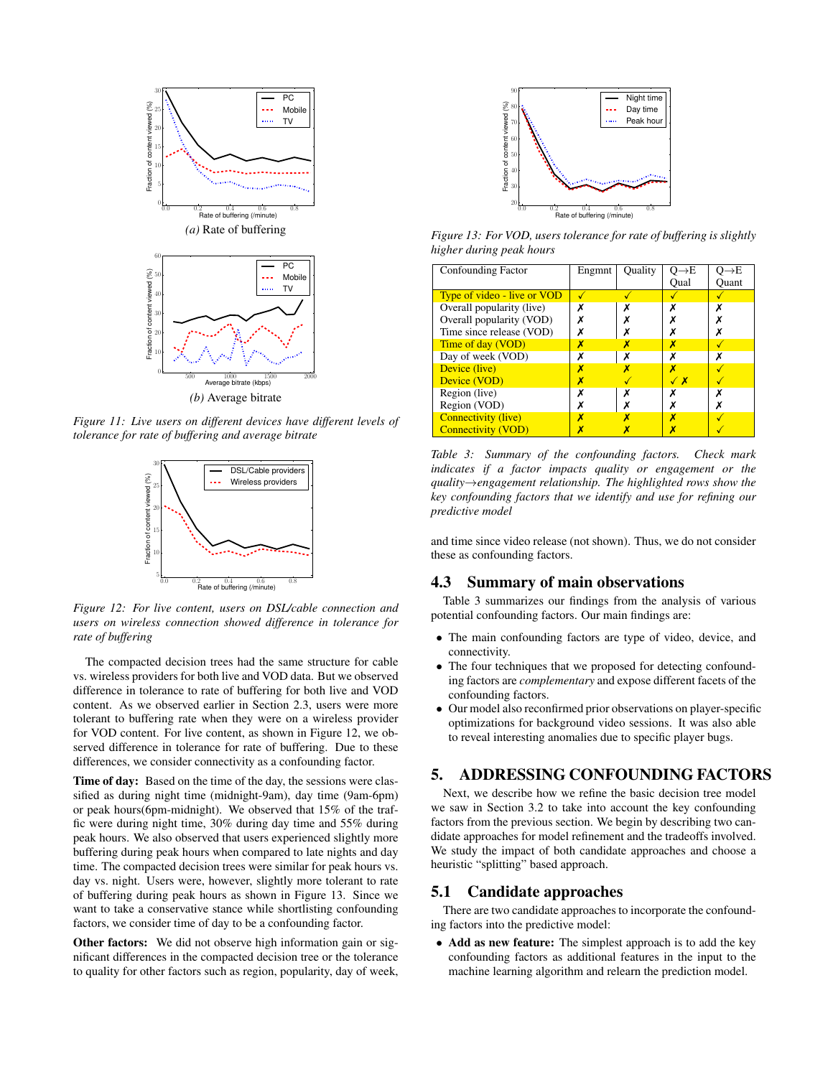

*Figure 11: Live users on different devices have different levels of tolerance for rate of buffering and average bitrate*



*Figure 12: For live content, users on DSL/cable connection and users on wireless connection showed difference in tolerance for rate of buffering*

The compacted decision trees had the same structure for cable vs. wireless providers for both live and VOD data. But we observed difference in tolerance to rate of buffering for both live and VOD content. As we observed earlier in Section 2.3, users were more tolerant to buffering rate when they were on a wireless provider for VOD content. For live content, as shown in Figure 12, we observed difference in tolerance for rate of buffering. Due to these differences, we consider connectivity as a confounding factor.

Time of day: Based on the time of the day, the sessions were classified as during night time (midnight-9am), day time (9am-6pm) or peak hours(6pm-midnight). We observed that 15% of the traffic were during night time, 30% during day time and 55% during peak hours. We also observed that users experienced slightly more buffering during peak hours when compared to late nights and day time. The compacted decision trees were similar for peak hours vs. day vs. night. Users were, however, slightly more tolerant to rate of buffering during peak hours as shown in Figure 13. Since we want to take a conservative stance while shortlisting confounding factors, we consider time of day to be a confounding factor.

Other factors: We did not observe high information gain or significant differences in the compacted decision tree or the tolerance to quality for other factors such as region, popularity, day of week,



*Figure 13: For VOD, users tolerance for rate of buffering is slightly higher during peak hours*

| Confounding Factor                 | Engmnt | <b>Ouality</b> | $O \rightarrow E$ | →E    |
|------------------------------------|--------|----------------|-------------------|-------|
|                                    |        |                | Oual              | Ouant |
| <b>Type of video - live or VOD</b> |        |                |                   |       |
| Overall popularity (live)          | x      |                |                   |       |
| Overall popularity (VOD)           |        |                |                   |       |
| Time since release (VOD)           |        |                |                   |       |
| Time of day (VOD)                  |        |                |                   |       |
| Day of week (VOD)                  |        |                |                   |       |
| Device (live)                      |        |                |                   |       |
| Device (VOD)                       |        |                |                   |       |
| Region (live)                      |        |                |                   |       |
| Region (VOD)                       |        |                |                   |       |
| <b>Connectivity (live)</b>         |        |                |                   |       |
| <b>Connectivity (VOD)</b>          |        |                |                   |       |

*Table 3: Summary of the confounding factors. Check mark indicates if a factor impacts quality or engagement or the quality*→*engagement relationship. The highlighted rows show the key confounding factors that we identify and use for refining our predictive model*

and time since video release (not shown). Thus, we do not consider these as confounding factors.

## 4.3 Summary of main observations

Table 3 summarizes our findings from the analysis of various potential confounding factors. Our main findings are:

- The main confounding factors are type of video, device, and connectivity.
- The four techniques that we proposed for detecting confounding factors are *complementary* and expose different facets of the confounding factors.
- Our model also reconfirmed prior observations on player-specific optimizations for background video sessions. It was also able to reveal interesting anomalies due to specific player bugs.

## 5. ADDRESSING CONFOUNDING FACTORS

Next, we describe how we refine the basic decision tree model we saw in Section 3.2 to take into account the key confounding factors from the previous section. We begin by describing two candidate approaches for model refinement and the tradeoffs involved. We study the impact of both candidate approaches and choose a heuristic "splitting" based approach.

#### 5.1 Candidate approaches

There are two candidate approaches to incorporate the confounding factors into the predictive model:

• Add as new feature: The simplest approach is to add the key confounding factors as additional features in the input to the machine learning algorithm and relearn the prediction model.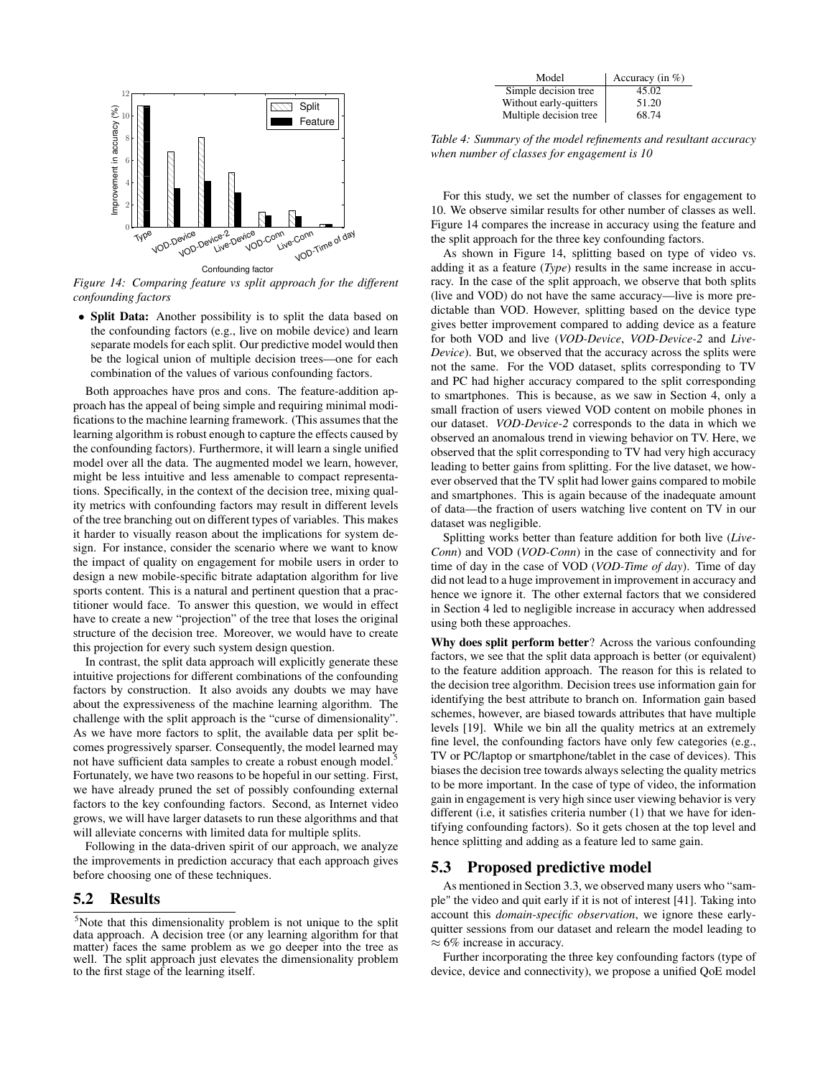

*Figure 14: Comparing feature vs split approach for the different confounding factors*

• Split Data: Another possibility is to split the data based on the confounding factors (e.g., live on mobile device) and learn separate models for each split. Our predictive model would then be the logical union of multiple decision trees—one for each combination of the values of various confounding factors.

Both approaches have pros and cons. The feature-addition approach has the appeal of being simple and requiring minimal modifications to the machine learning framework. (This assumes that the learning algorithm is robust enough to capture the effects caused by the confounding factors). Furthermore, it will learn a single unified model over all the data. The augmented model we learn, however, might be less intuitive and less amenable to compact representations. Specifically, in the context of the decision tree, mixing quality metrics with confounding factors may result in different levels of the tree branching out on different types of variables. This makes it harder to visually reason about the implications for system design. For instance, consider the scenario where we want to know the impact of quality on engagement for mobile users in order to design a new mobile-specific bitrate adaptation algorithm for live sports content. This is a natural and pertinent question that a practitioner would face. To answer this question, we would in effect have to create a new "projection" of the tree that loses the original structure of the decision tree. Moreover, we would have to create this projection for every such system design question.

In contrast, the split data approach will explicitly generate these intuitive projections for different combinations of the confounding factors by construction. It also avoids any doubts we may have about the expressiveness of the machine learning algorithm. The challenge with the split approach is the "curse of dimensionality". As we have more factors to split, the available data per split becomes progressively sparser. Consequently, the model learned may not have sufficient data samples to create a robust enough model.<sup>5</sup> Fortunately, we have two reasons to be hopeful in our setting. First, we have already pruned the set of possibly confounding external factors to the key confounding factors. Second, as Internet video grows, we will have larger datasets to run these algorithms and that will alleviate concerns with limited data for multiple splits.

Following in the data-driven spirit of our approach, we analyze the improvements in prediction accuracy that each approach gives before choosing one of these techniques.

#### 5.2 Results

| Model                  | Accuracy (in $%$ ) |
|------------------------|--------------------|
| Simple decision tree   | 45.02              |
| Without early-quitters | 51.20              |
| Multiple decision tree | 68.74              |

*Table 4: Summary of the model refinements and resultant accuracy when number of classes for engagement is 10*

For this study, we set the number of classes for engagement to 10. We observe similar results for other number of classes as well. Figure 14 compares the increase in accuracy using the feature and the split approach for the three key confounding factors.

As shown in Figure 14, splitting based on type of video vs. adding it as a feature (*Type*) results in the same increase in accuracy. In the case of the split approach, we observe that both splits (live and VOD) do not have the same accuracy—live is more predictable than VOD. However, splitting based on the device type gives better improvement compared to adding device as a feature for both VOD and live (*VOD-Device*, *VOD-Device-2* and *Live-Device*). But, we observed that the accuracy across the splits were not the same. For the VOD dataset, splits corresponding to TV and PC had higher accuracy compared to the split corresponding to smartphones. This is because, as we saw in Section 4, only a small fraction of users viewed VOD content on mobile phones in our dataset. *VOD-Device-2* corresponds to the data in which we observed an anomalous trend in viewing behavior on TV. Here, we observed that the split corresponding to TV had very high accuracy leading to better gains from splitting. For the live dataset, we however observed that the TV split had lower gains compared to mobile and smartphones. This is again because of the inadequate amount of data—the fraction of users watching live content on TV in our dataset was negligible.

Splitting works better than feature addition for both live (*Live-Conn*) and VOD (*VOD-Conn*) in the case of connectivity and for time of day in the case of VOD (*VOD-Time of day*). Time of day did not lead to a huge improvement in improvement in accuracy and hence we ignore it. The other external factors that we considered in Section 4 led to negligible increase in accuracy when addressed using both these approaches.

Why does split perform better? Across the various confounding factors, we see that the split data approach is better (or equivalent) to the feature addition approach. The reason for this is related to the decision tree algorithm. Decision trees use information gain for identifying the best attribute to branch on. Information gain based schemes, however, are biased towards attributes that have multiple levels [19]. While we bin all the quality metrics at an extremely fine level, the confounding factors have only few categories (e.g., TV or PC/laptop or smartphone/tablet in the case of devices). This biases the decision tree towards always selecting the quality metrics to be more important. In the case of type of video, the information gain in engagement is very high since user viewing behavior is very different (i.e, it satisfies criteria number (1) that we have for identifying confounding factors). So it gets chosen at the top level and hence splitting and adding as a feature led to same gain.

#### 5.3 Proposed predictive model

As mentioned in Section 3.3, we observed many users who "sample" the video and quit early if it is not of interest [41]. Taking into account this *domain-specific observation*, we ignore these earlyquitter sessions from our dataset and relearn the model leading to  $\approx 6\%$  increase in accuracy.

Further incorporating the three key confounding factors (type of device, device and connectivity), we propose a unified QoE model

<sup>5</sup>Note that this dimensionality problem is not unique to the split data approach. A decision tree (or any learning algorithm for that matter) faces the same problem as we go deeper into the tree as well. The split approach just elevates the dimensionality problem to the first stage of the learning itself.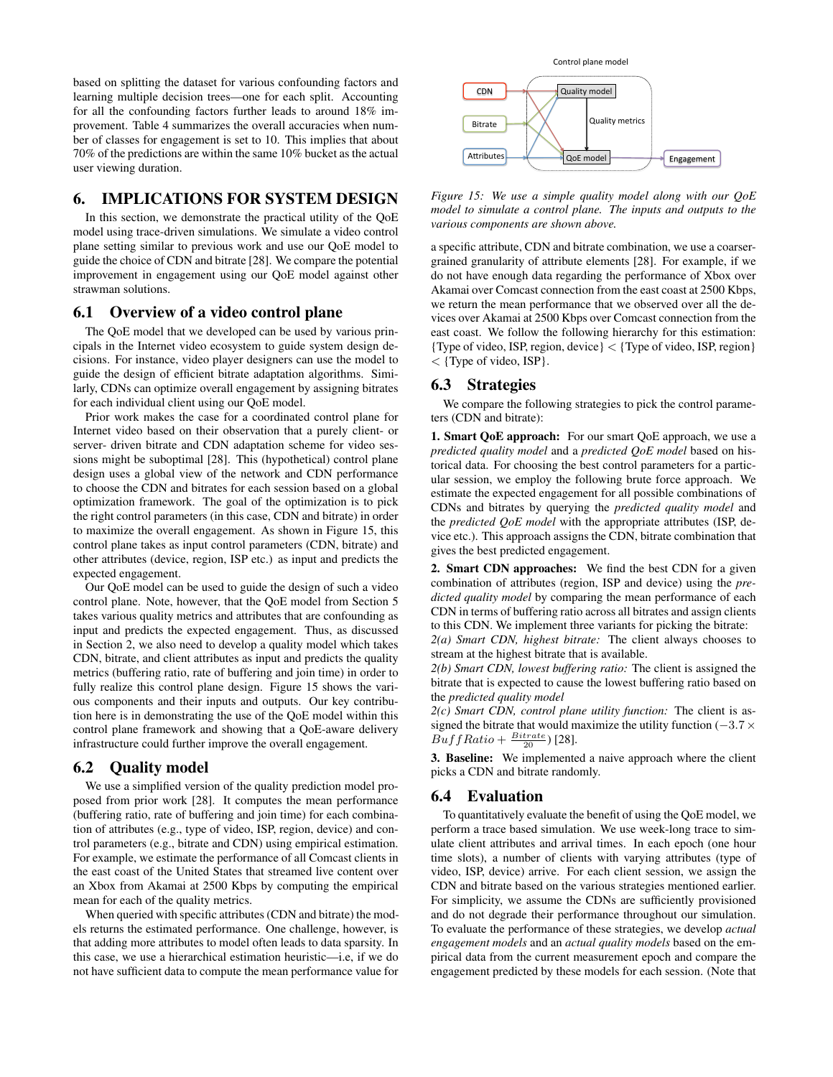based on splitting the dataset for various confounding factors and learning multiple decision trees—one for each split. Accounting for all the confounding factors further leads to around 18% improvement. Table 4 summarizes the overall accuracies when number of classes for engagement is set to 10. This implies that about 70% of the predictions are within the same 10% bucket as the actual user viewing duration.

## 6. IMPLICATIONS FOR SYSTEM DESIGN

In this section, we demonstrate the practical utility of the QoE model using trace-driven simulations. We simulate a video control plane setting similar to previous work and use our QoE model to guide the choice of CDN and bitrate [28]. We compare the potential improvement in engagement using our QoE model against other strawman solutions.

#### 6.1 Overview of a video control plane

The QoE model that we developed can be used by various principals in the Internet video ecosystem to guide system design decisions. For instance, video player designers can use the model to guide the design of efficient bitrate adaptation algorithms. Similarly, CDNs can optimize overall engagement by assigning bitrates for each individual client using our QoE model.

Prior work makes the case for a coordinated control plane for Internet video based on their observation that a purely client- or server- driven bitrate and CDN adaptation scheme for video sessions might be suboptimal [28]. This (hypothetical) control plane design uses a global view of the network and CDN performance to choose the CDN and bitrates for each session based on a global optimization framework. The goal of the optimization is to pick the right control parameters (in this case, CDN and bitrate) in order to maximize the overall engagement. As shown in Figure 15, this control plane takes as input control parameters (CDN, bitrate) and other attributes (device, region, ISP etc.) as input and predicts the expected engagement.

Our QoE model can be used to guide the design of such a video control plane. Note, however, that the QoE model from Section 5 takes various quality metrics and attributes that are confounding as input and predicts the expected engagement. Thus, as discussed in Section 2, we also need to develop a quality model which takes CDN, bitrate, and client attributes as input and predicts the quality metrics (buffering ratio, rate of buffering and join time) in order to fully realize this control plane design. Figure 15 shows the various components and their inputs and outputs. Our key contribution here is in demonstrating the use of the QoE model within this control plane framework and showing that a QoE-aware delivery infrastructure could further improve the overall engagement.

#### 6.2 Quality model

We use a simplified version of the quality prediction model proposed from prior work [28]. It computes the mean performance (buffering ratio, rate of buffering and join time) for each combination of attributes (e.g., type of video, ISP, region, device) and control parameters (e.g., bitrate and CDN) using empirical estimation. For example, we estimate the performance of all Comcast clients in the east coast of the United States that streamed live content over an Xbox from Akamai at 2500 Kbps by computing the empirical mean for each of the quality metrics.

When queried with specific attributes (CDN and bitrate) the models returns the estimated performance. One challenge, however, is that adding more attributes to model often leads to data sparsity. In this case, we use a hierarchical estimation heuristic—i.e, if we do not have sufficient data to compute the mean performance value for



*Figure 15: We use a simple quality model along with our QoE model to simulate a control plane. The inputs and outputs to the various components are shown above.*

a specific attribute, CDN and bitrate combination, we use a coarsergrained granularity of attribute elements [28]. For example, if we do not have enough data regarding the performance of Xbox over Akamai over Comcast connection from the east coast at 2500 Kbps, we return the mean performance that we observed over all the devices over Akamai at 2500 Kbps over Comcast connection from the east coast. We follow the following hierarchy for this estimation: {Type of video, ISP, region, device} < {Type of video, ISP, region}  $\langle$  {Type of video, ISP}.

#### 6.3 Strategies

We compare the following strategies to pick the control parameters (CDN and bitrate):

1. Smart QoE approach: For our smart QoE approach, we use a *predicted quality model* and a *predicted QoE model* based on historical data. For choosing the best control parameters for a particular session, we employ the following brute force approach. We estimate the expected engagement for all possible combinations of CDNs and bitrates by querying the *predicted quality model* and the *predicted QoE model* with the appropriate attributes (ISP, device etc.). This approach assigns the CDN, bitrate combination that gives the best predicted engagement.

2. Smart CDN approaches: We find the best CDN for a given combination of attributes (region, ISP and device) using the *predicted quality model* by comparing the mean performance of each CDN in terms of buffering ratio across all bitrates and assign clients to this CDN. We implement three variants for picking the bitrate:

*2(a) Smart CDN, highest bitrate:* The client always chooses to stream at the highest bitrate that is available.

*2(b) Smart CDN, lowest buffering ratio:* The client is assigned the bitrate that is expected to cause the lowest buffering ratio based on the *predicted quality model*

*2(c) Smart CDN, control plane utility function:* The client is assigned the bitrate that would maximize the utility function (−3.7  $\times$  $BufferRatio + \frac{Bitrate}{20}$  [28].

3. Baseline: We implemented a naive approach where the client picks a CDN and bitrate randomly.

#### 6.4 Evaluation

To quantitatively evaluate the benefit of using the QoE model, we perform a trace based simulation. We use week-long trace to simulate client attributes and arrival times. In each epoch (one hour time slots), a number of clients with varying attributes (type of video, ISP, device) arrive. For each client session, we assign the CDN and bitrate based on the various strategies mentioned earlier. For simplicity, we assume the CDNs are sufficiently provisioned and do not degrade their performance throughout our simulation. To evaluate the performance of these strategies, we develop *actual engagement models* and an *actual quality models* based on the empirical data from the current measurement epoch and compare the engagement predicted by these models for each session. (Note that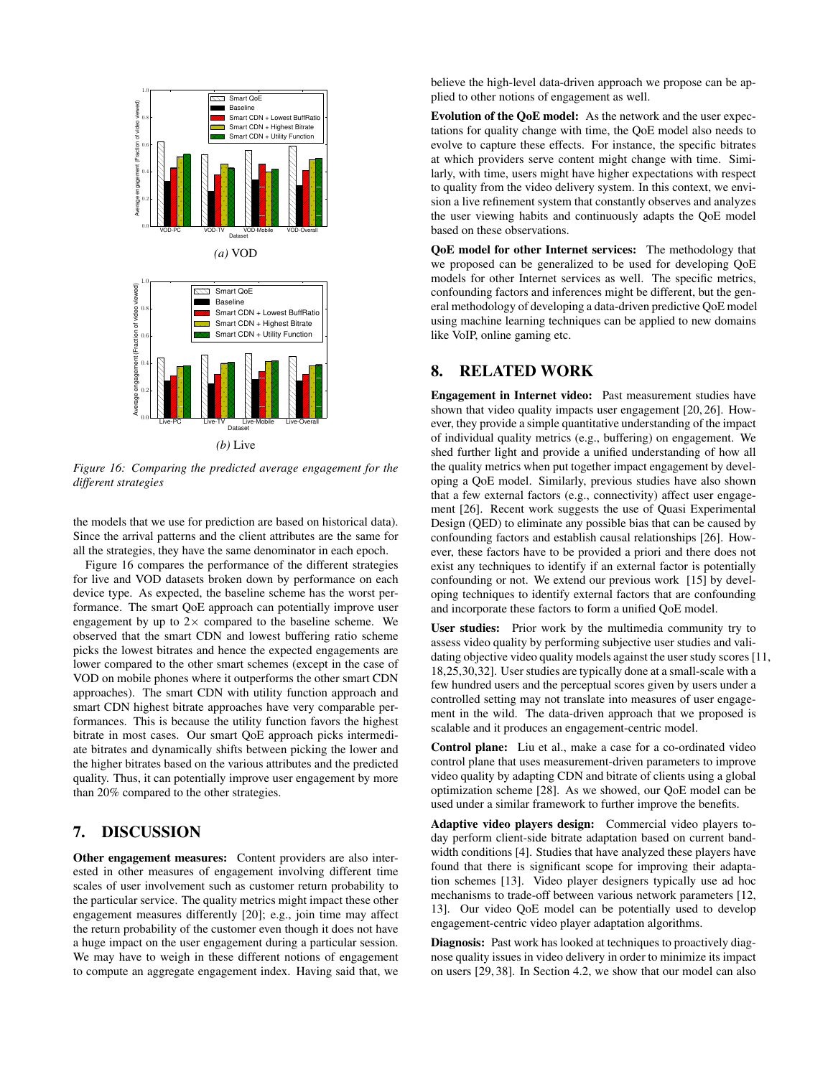

*Figure 16: Comparing the predicted average engagement for the different strategies*

the models that we use for prediction are based on historical data). Since the arrival patterns and the client attributes are the same for all the strategies, they have the same denominator in each epoch.

Figure 16 compares the performance of the different strategies for live and VOD datasets broken down by performance on each device type. As expected, the baseline scheme has the worst performance. The smart QoE approach can potentially improve user engagement by up to  $2 \times$  compared to the baseline scheme. We observed that the smart CDN and lowest buffering ratio scheme picks the lowest bitrates and hence the expected engagements are lower compared to the other smart schemes (except in the case of VOD on mobile phones where it outperforms the other smart CDN approaches). The smart CDN with utility function approach and smart CDN highest bitrate approaches have very comparable performances. This is because the utility function favors the highest bitrate in most cases. Our smart QoE approach picks intermediate bitrates and dynamically shifts between picking the lower and the higher bitrates based on the various attributes and the predicted quality. Thus, it can potentially improve user engagement by more than 20% compared to the other strategies.

## 7. DISCUSSION

Other engagement measures: Content providers are also interested in other measures of engagement involving different time scales of user involvement such as customer return probability to the particular service. The quality metrics might impact these other engagement measures differently [20]; e.g., join time may affect the return probability of the customer even though it does not have a huge impact on the user engagement during a particular session. We may have to weigh in these different notions of engagement to compute an aggregate engagement index. Having said that, we

believe the high-level data-driven approach we propose can be applied to other notions of engagement as well.

Evolution of the QoE model: As the network and the user expectations for quality change with time, the QoE model also needs to evolve to capture these effects. For instance, the specific bitrates at which providers serve content might change with time. Similarly, with time, users might have higher expectations with respect to quality from the video delivery system. In this context, we envision a live refinement system that constantly observes and analyzes the user viewing habits and continuously adapts the QoE model based on these observations.

QoE model for other Internet services: The methodology that we proposed can be generalized to be used for developing QoE models for other Internet services as well. The specific metrics, confounding factors and inferences might be different, but the general methodology of developing a data-driven predictive QoE model using machine learning techniques can be applied to new domains like VoIP, online gaming etc.

## 8. RELATED WORK

Engagement in Internet video: Past measurement studies have shown that video quality impacts user engagement [20, 26]. However, they provide a simple quantitative understanding of the impact of individual quality metrics (e.g., buffering) on engagement. We shed further light and provide a unified understanding of how all the quality metrics when put together impact engagement by developing a QoE model. Similarly, previous studies have also shown that a few external factors (e.g., connectivity) affect user engagement [26]. Recent work suggests the use of Quasi Experimental Design (QED) to eliminate any possible bias that can be caused by confounding factors and establish causal relationships [26]. However, these factors have to be provided a priori and there does not exist any techniques to identify if an external factor is potentially confounding or not. We extend our previous work [15] by developing techniques to identify external factors that are confounding and incorporate these factors to form a unified QoE model.

User studies: Prior work by the multimedia community try to assess video quality by performing subjective user studies and validating objective video quality models against the user study scores [11, 18,25,30,32]. User studies are typically done at a small-scale with a few hundred users and the perceptual scores given by users under a controlled setting may not translate into measures of user engagement in the wild. The data-driven approach that we proposed is scalable and it produces an engagement-centric model.

Control plane: Liu et al., make a case for a co-ordinated video control plane that uses measurement-driven parameters to improve video quality by adapting CDN and bitrate of clients using a global optimization scheme [28]. As we showed, our QoE model can be used under a similar framework to further improve the benefits.

Adaptive video players design: Commercial video players today perform client-side bitrate adaptation based on current bandwidth conditions [4]. Studies that have analyzed these players have found that there is significant scope for improving their adaptation schemes [13]. Video player designers typically use ad hoc mechanisms to trade-off between various network parameters [12, 13]. Our video QoE model can be potentially used to develop engagement-centric video player adaptation algorithms.

Diagnosis: Past work has looked at techniques to proactively diagnose quality issues in video delivery in order to minimize its impact on users [29, 38]. In Section 4.2, we show that our model can also